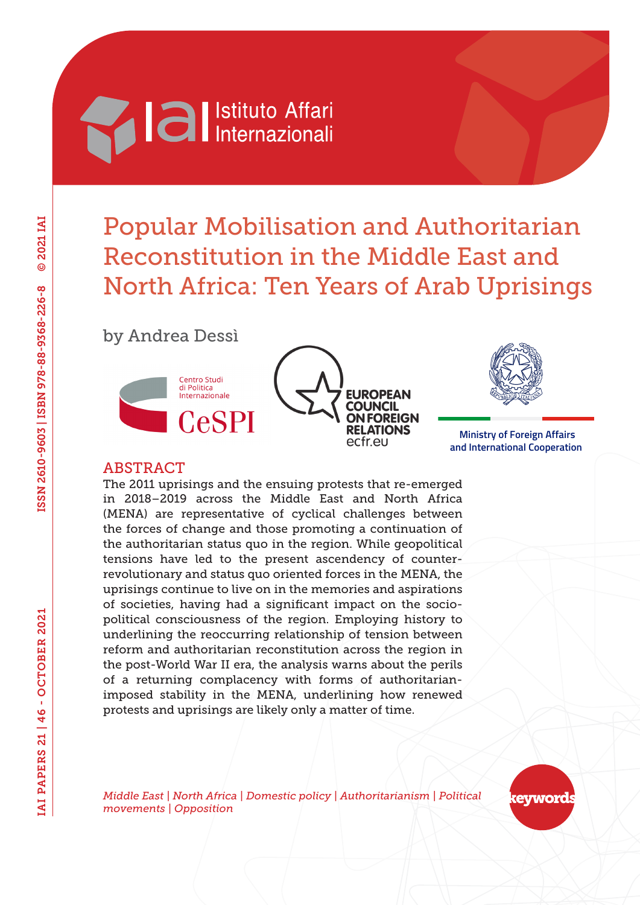# **Machimed Settlemannial Reviews**

## Popular Mobilisation and Authoritarian Reconstitution in the Middle East and North Africa: Ten Years of Arab Uprisings

by Andrea Dessì







 **Ministry of Foreign Affairs and International Cooperation**

#### ABSTRACT

The 2011 uprisings and the ensuing protests that re-emerged in 2018–2019 across the Middle East and North Africa (MENA) are representative of cyclical challenges between the forces of change and those promoting a continuation of the authoritarian status quo in the region. While geopolitical tensions have led to the present ascendency of counterrevolutionary and status quo oriented forces in the MENA, the uprisings continue to live on in the memories and aspirations of societies, having had a significant impact on the sociopolitical consciousness of the region. Employing history to underlining the reoccurring relationship of tension between reform and authoritarian reconstitution across the region in the post-World War II era, the analysis warns about the perils of a returning complacency with forms of authoritarianimposed stability in the MENA, underlining how renewed protests and uprisings are likely only a matter of time.

*Middle East | North Africa | Domestic policy | Authoritarianism | Political movements | Opposition*

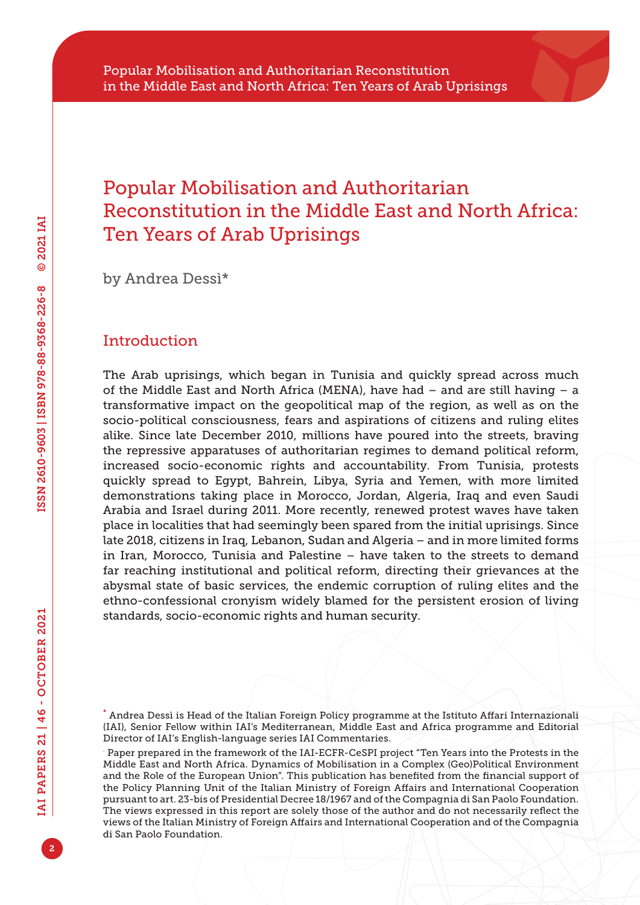### Popular Mobilisation and Authoritarian Reconstitution in the Middle East and North Africa: Ten Years of Arab Uprisings

by Andrea Dessì\*

#### **Introduction**

The Arab uprisings, which began in Tunisia and quickly spread across much of the Middle East and North Africa (MENA), have had  $-$  and are still having  $-$  a transformative impact on the geopolitical map of the region, as well as on the socio-political consciousness, fears and aspirations of citizens and ruling elites alike. Since late December 2010, millions have poured into the streets, braving the repressive apparatuses of authoritarian regimes to demand political reform, increased socio-economic rights and accountability. From Tunisia, protests quickly spread to Egypt, Bahrein, Libya, Syria and Yemen, with more limited demonstrations taking place in Morocco, Jordan, Algeria, Iraq and even Saudi Arabia and Israel during 2011. More recently, renewed protest waves have taken place in localities that had seemingly been spared from the initial uprisings. Since late 2018, citizens in Iraq, Lebanon, Sudan and Algeria – and in more limited forms in Iran, Morocco, Tunisia and Palestine – have taken to the streets to demand far reaching institutional and political reform, directing their grievances at the abysmal state of basic services, the endemic corruption of ruling elites and the ethno-confessional cronyism widely blamed for the persistent erosion of living standards, socio-economic rights and human security.

<sup>\*</sup> Andrea Dessì is Head of the Italian Foreign Policy programme at the Istituto Affari Internazionali (IAI), Senior Fellow within IAI's Mediterranean, Middle East and Africa programme and Editorial Director of IAI's English-language series IAI Commentaries.

<sup>.</sup> Paper prepared in the framework of the IAI-ECFR-CeSPI project "Ten Years into the Protests in the Middle East and North Africa. Dynamics of Mobilisation in a Complex (Geo)Political Environment and the Role of the European Union". This publication has benefited from the financial support of the Policy Planning Unit of the Italian Ministry of Foreign Affairs and International Cooperation pursuant to art. 23-bis of Presidential Decree 18/1967 and of the Compagnia di San Paolo Foundation. The views expressed in this report are solely those of the author and do not necessarily reflect the views of the Italian Ministry of Foreign Affairs and International Cooperation and of the Compagnia di San Paolo Foundation.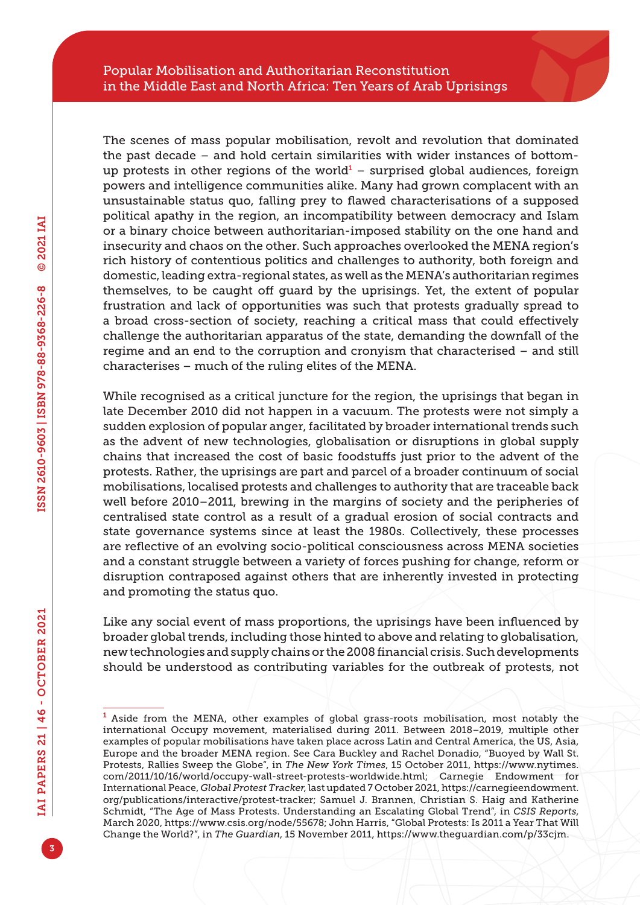The scenes of mass popular mobilisation, revolt and revolution that dominated the past decade – and hold certain similarities with wider instances of bottomup protests in other regions of the world $<sup>1</sup>$  – surprised global audiences, foreign</sup> powers and intelligence communities alike. Many had grown complacent with an unsustainable status quo, falling prey to flawed characterisations of a supposed political apathy in the region, an incompatibility between democracy and Islam or a binary choice between authoritarian-imposed stability on the one hand and insecurity and chaos on the other. Such approaches overlooked the MENA region's rich history of contentious politics and challenges to authority, both foreign and domestic, leading extra-regional states, as well as the MENA's authoritarian regimes themselves, to be caught off guard by the uprisings. Yet, the extent of popular frustration and lack of opportunities was such that protests gradually spread to a broad cross-section of society, reaching a critical mass that could effectively challenge the authoritarian apparatus of the state, demanding the downfall of the regime and an end to the corruption and cronyism that characterised – and still characterises – much of the ruling elites of the MENA.

While recognised as a critical juncture for the region, the uprisings that began in late December 2010 did not happen in a vacuum. The protests were not simply a sudden explosion of popular anger, facilitated by broader international trends such as the advent of new technologies, globalisation or disruptions in global supply chains that increased the cost of basic foodstuffs just prior to the advent of the protests. Rather, the uprisings are part and parcel of a broader continuum of social mobilisations, localised protests and challenges to authority that are traceable back well before 2010–2011, brewing in the margins of society and the peripheries of centralised state control as a result of a gradual erosion of social contracts and state governance systems since at least the 1980s. Collectively, these processes are reflective of an evolving socio-political consciousness across MENA societies and a constant struggle between a variety of forces pushing for change, reform or disruption contraposed against others that are inherently invested in protecting and promoting the status quo.

Like any social event of mass proportions, the uprisings have been influenced by broader global trends, including those hinted to above and relating to globalisation, new technologies and supply chains or the 2008 financial crisis. Such developments should be understood as contributing variables for the outbreak of protests, not

<sup>1</sup> Aside from the MENA, other examples of global grass-roots mobilisation, most notably the international Occupy movement, materialised during 2011. Between 2018–2019, multiple other examples of popular mobilisations have taken place across Latin and Central America, the US, Asia, Europe and the broader MENA region. See Cara Buckley and Rachel Donadio, "Buoyed by Wall St. Protests, Rallies Sweep the Globe", in *The New York Times*, 15 October 2011, [https://www.nytimes.](https://www.nytimes.com/2011/10/16/world/occupy-wall-street-protests-worldwide.html) [com/2011/10/16/world/occupy-wall-street-protests-worldwide.html;](https://www.nytimes.com/2011/10/16/world/occupy-wall-street-protests-worldwide.html) Carnegie Endowment for International Peace, *Global Protest Tracker*, last updated 7 October 2021, [https://carnegieendowment.](https://carnegieendowment.org/publications/interactive/protest-tracker) [org/publications/interactive/protest-tracker](https://carnegieendowment.org/publications/interactive/protest-tracker); Samuel J. Brannen, Christian S. Haig and Katherine Schmidt, "The Age of Mass Protests. Understanding an Escalating Global Trend", in *CSIS Reports*, March 2020, [https://www.csis.org/node/55678;](https://www.csis.org/node/55678) John Harris, "Global Protests: Is 2011 a Year That Will Change the World?", in *The Guardian*, 15 November 2011, <https://www.theguardian.com/p/33cjm>.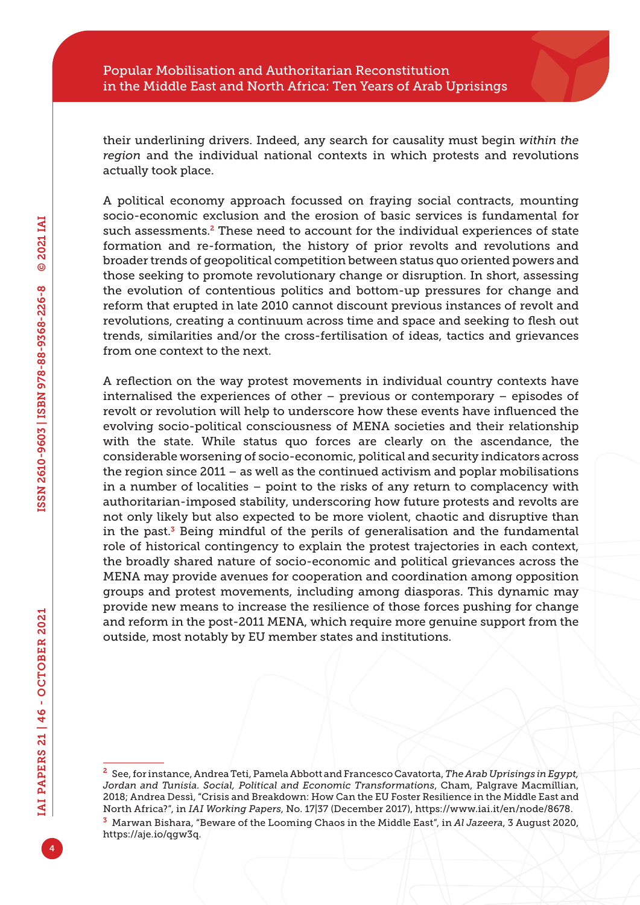their underlining drivers. Indeed, any search for causality must begin *within the region* and the individual national contexts in which protests and revolutions actually took place.

A political economy approach focussed on fraying social contracts, mounting socio-economic exclusion and the erosion of basic services is fundamental for such assessments.<sup>2</sup> These need to account for the individual experiences of state formation and re-formation, the history of prior revolts and revolutions and broader trends of geopolitical competition between status quo oriented powers and those seeking to promote revolutionary change or disruption. In short, assessing the evolution of contentious politics and bottom-up pressures for change and reform that erupted in late 2010 cannot discount previous instances of revolt and revolutions, creating a continuum across time and space and seeking to flesh out trends, similarities and/or the cross-fertilisation of ideas, tactics and grievances from one context to the next.

A reflection on the way protest movements in individual country contexts have internalised the experiences of other – previous or contemporary – episodes of revolt or revolution will help to underscore how these events have influenced the evolving socio-political consciousness of MENA societies and their relationship with the state. While status quo forces are clearly on the ascendance, the considerable worsening of socio-economic, political and security indicators across the region since 2011 – as well as the continued activism and poplar mobilisations in a number of localities – point to the risks of any return to complacency with authoritarian-imposed stability, underscoring how future protests and revolts are not only likely but also expected to be more violent, chaotic and disruptive than in the past. $3$  Being mindful of the perils of generalisation and the fundamental role of historical contingency to explain the protest trajectories in each context, the broadly shared nature of socio-economic and political grievances across the MENA may provide avenues for cooperation and coordination among opposition groups and protest movements, including among diasporas. This dynamic may provide new means to increase the resilience of those forces pushing for change and reform in the post-2011 MENA, which require more genuine support from the outside, most notably by EU member states and institutions.

<sup>2</sup> See, for instance, Andrea Teti, Pamela Abbott and Francesco Cavatorta, *The Arab Uprisings in Egypt, Jordan and Tunisia. Social, Political and Economic Transformations*, Cham, Palgrave Macmillian, 2018; Andrea Dessì, "Crisis and Breakdown: How Can the EU Foster Resilience in the Middle East and North Africa?", in *IAI Working Papers*, No. 17|37 (December 2017), [https://www.iai.it/en/node/8678.](https://www.iai.it/en/node/8678) <sup>3</sup> Marwan Bishara, "Beware of the Looming Chaos in the Middle East", in *Al Jazeera*, 3 August 2020,

<https://aje.io/qgw3q>.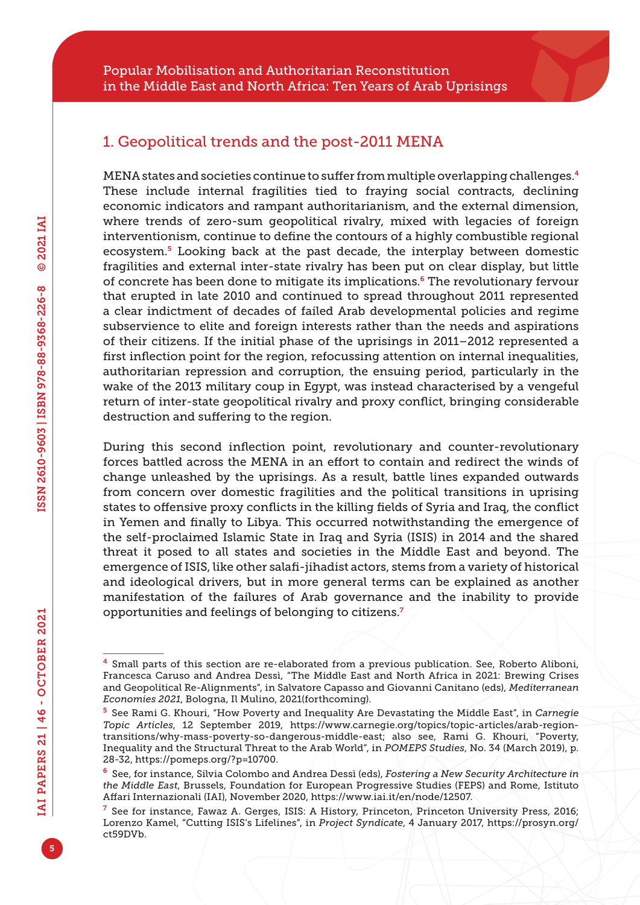#### 1. Geopolitical trends and the post-2011 MENA

MENA states and societies continue to suffer from multiple overlapping challenges.<sup>4</sup> These include internal fragilities tied to fraying social contracts, declining economic indicators and rampant authoritarianism, and the external dimension, where trends of zero-sum geopolitical rivalry, mixed with legacies of foreign interventionism, continue to define the contours of a highly combustible regional ecosystem.<sup>5</sup> Looking back at the past decade, the interplay between domestic fragilities and external inter-state rivalry has been put on clear display, but little of concrete has been done to mitigate its implications.6 The revolutionary fervour that erupted in late 2010 and continued to spread throughout 2011 represented a clear indictment of decades of failed Arab developmental policies and regime subservience to elite and foreign interests rather than the needs and aspirations of their citizens. If the initial phase of the uprisings in 2011–2012 represented a first inflection point for the region, refocussing attention on internal inequalities, authoritarian repression and corruption, the ensuing period, particularly in the wake of the 2013 military coup in Egypt, was instead characterised by a vengeful return of inter-state geopolitical rivalry and proxy conflict, bringing considerable destruction and suffering to the region.

During this second inflection point, revolutionary and counter-revolutionary forces battled across the MENA in an effort to contain and redirect the winds of change unleashed by the uprisings. As a result, battle lines expanded outwards from concern over domestic fragilities and the political transitions in uprising states to offensive proxy conflicts in the killing fields of Syria and Iraq, the conflict in Yemen and finally to Libya. This occurred notwithstanding the emergence of the self-proclaimed Islamic State in Iraq and Syria (ISIS) in 2014 and the shared threat it posed to all states and societies in the Middle East and beyond. The emergence of ISIS, like other salafi-jihadist actors, stems from a variety of historical and ideological drivers, but in more general terms can be explained as another manifestation of the failures of Arab governance and the inability to provide opportunities and feelings of belonging to citizens.<sup>7</sup>

<sup>4</sup> Small parts of this section are re-elaborated from a previous publication. See, Roberto Aliboni, Francesca Caruso and Andrea Dessì, "The Middle East and North Africa in 2021: Brewing Crises and Geopolitical Re-Alignments", in Salvatore Capasso and Giovanni Canitano (eds), *Mediterranean Economies 2021*, Bologna, Il Mulino, 2021(forthcoming).

<sup>5</sup> See Rami G. Khouri, "How Poverty and Inequality Are Devastating the Middle East", in *Carnegie Topic Articles*, 12 September 2019, [https://www.carnegie.org/topics/topic-articles/arab-region](https://www.carnegie.org/topics/topic-articles/arab-region-transitions/why-mass-poverty-so-dangerous-middle-east)[transitions/why-mass-poverty-so-dangerous-middle-east;](https://www.carnegie.org/topics/topic-articles/arab-region-transitions/why-mass-poverty-so-dangerous-middle-east) also see, Rami G. Khouri, "Poverty, Inequality and the Structural Threat to the Arab World", in *POMEPS Studies*, No. 34 (March 2019), p. 28-32, [https://pomeps.org/?p=10700.](https://pomeps.org/?p=10700)

<sup>6</sup> See, for instance, Silvia Colombo and Andrea Dessì (eds), *Fostering a New Security Architecture in the Middle East*, Brussels, Foundation for European Progressive Studies (FEPS) and Rome, Istituto Affari Internazionali (IAI), November 2020, [https://www.iai.it/en/node/12507.](https://www.iai.it/en/node/12507)

<sup>7</sup> See for instance, Fawaz A. Gerges, ISIS: A History, Princeton, Princeton University Press, 2016; Lorenzo Kamel, "Cutting ISIS's Lifelines", in *Project Syndicate*, 4 January 2017, [https://prosyn.org/](https://prosyn.org/ct59DVb) [ct59DVb](https://prosyn.org/ct59DVb).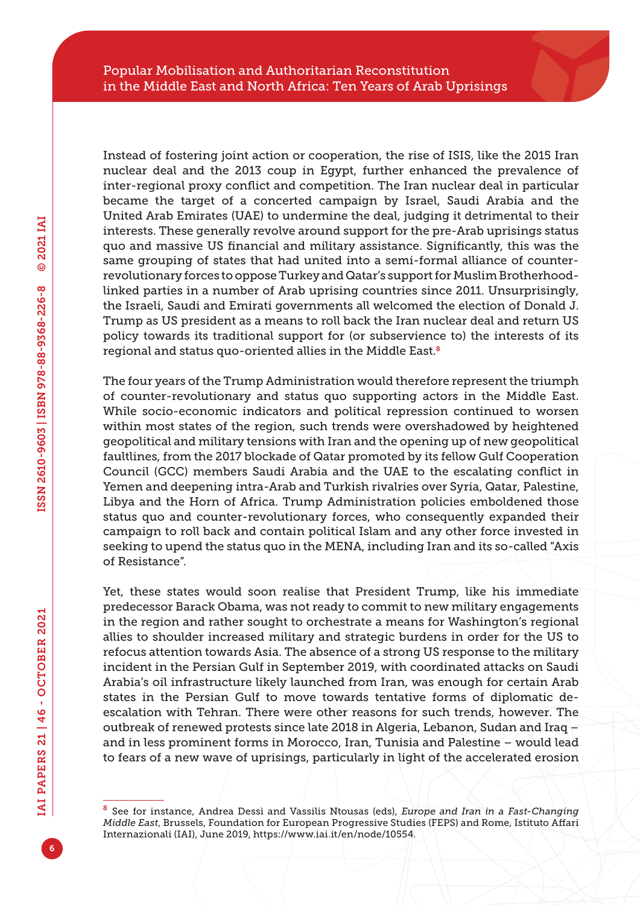Instead of fostering joint action or cooperation, the rise of ISIS, like the 2015 Iran nuclear deal and the 2013 coup in Egypt, further enhanced the prevalence of inter-regional proxy conflict and competition. The Iran nuclear deal in particular became the target of a concerted campaign by Israel, Saudi Arabia and the United Arab Emirates (UAE) to undermine the deal, judging it detrimental to their interests. These generally revolve around support for the pre-Arab uprisings status quo and massive US financial and military assistance. Significantly, this was the same grouping of states that had united into a semi-formal alliance of counterrevolutionary forces to oppose Turkey and Qatar's support for Muslim Brotherhoodlinked parties in a number of Arab uprising countries since 2011. Unsurprisingly, the Israeli, Saudi and Emirati governments all welcomed the election of Donald J. Trump as US president as a means to roll back the Iran nuclear deal and return US policy towards its traditional support for (or subservience to) the interests of its regional and status quo-oriented allies in the Middle East.<sup>8</sup>

The four years of the Trump Administration would therefore represent the triumph of counter-revolutionary and status quo supporting actors in the Middle East. While socio-economic indicators and political repression continued to worsen within most states of the region, such trends were overshadowed by heightened geopolitical and military tensions with Iran and the opening up of new geopolitical faultlines, from the 2017 blockade of Qatar promoted by its fellow Gulf Cooperation Council (GCC) members Saudi Arabia and the UAE to the escalating conflict in Yemen and deepening intra-Arab and Turkish rivalries over Syria, Qatar, Palestine, Libya and the Horn of Africa. Trump Administration policies emboldened those status quo and counter-revolutionary forces, who consequently expanded their campaign to roll back and contain political Islam and any other force invested in seeking to upend the status quo in the MENA, including Iran and its so-called "Axis of Resistance".

Yet, these states would soon realise that President Trump, like his immediate predecessor Barack Obama, was not ready to commit to new military engagements in the region and rather sought to orchestrate a means for Washington's regional allies to shoulder increased military and strategic burdens in order for the US to refocus attention towards Asia. The absence of a strong US response to the military incident in the Persian Gulf in September 2019, with coordinated attacks on Saudi Arabia's oil infrastructure likely launched from Iran, was enough for certain Arab states in the Persian Gulf to move towards tentative forms of diplomatic deescalation with Tehran. There were other reasons for such trends, however. The outbreak of renewed protests since late 2018 in Algeria, Lebanon, Sudan and Iraq – and in less prominent forms in Morocco, Iran, Tunisia and Palestine – would lead to fears of a new wave of uprisings, particularly in light of the accelerated erosion

<sup>8</sup> See for instance, Andrea Dessì and Vassilis Ntousas (eds), *Europe and Iran in a Fast-Changing Middle East*, Brussels, Foundation for European Progressive Studies (FEPS) and Rome, Istituto Affari Internazionali (IAI), June 2019, [https://www.iai.it/en/node/10554.](https://www.iai.it/en/node/10554)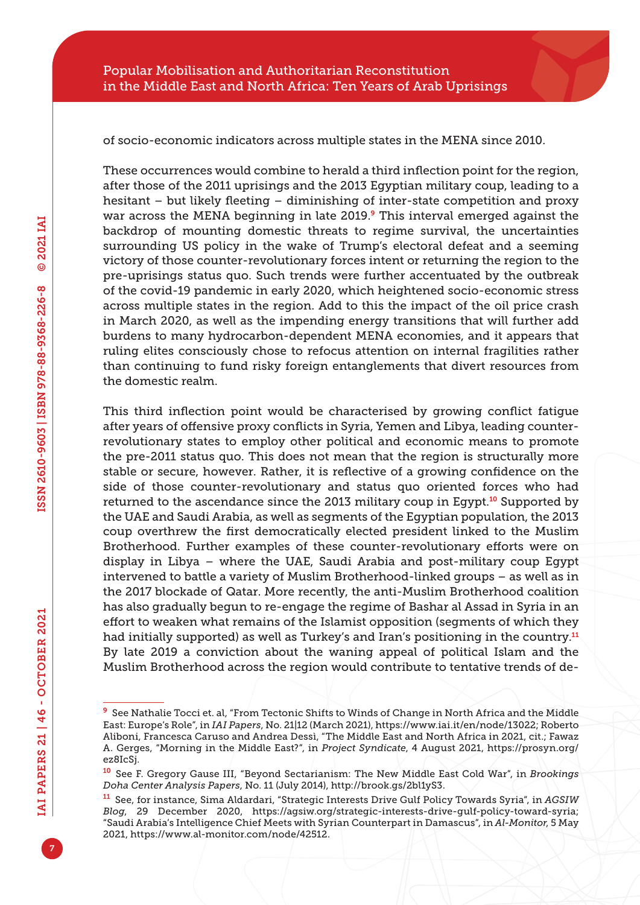of socio-economic indicators across multiple states in the MENA since 2010.

These occurrences would combine to herald a third inflection point for the region, after those of the 2011 uprisings and the 2013 Egyptian military coup, leading to a hesitant – but likely fleeting – diminishing of inter-state competition and proxy war across the MENA beginning in late 2019.<sup>9</sup> This interval emerged against the backdrop of mounting domestic threats to regime survival, the uncertainties surrounding US policy in the wake of Trump's electoral defeat and a seeming victory of those counter-revolutionary forces intent or returning the region to the pre-uprisings status quo. Such trends were further accentuated by the outbreak of the covid-19 pandemic in early 2020, which heightened socio-economic stress across multiple states in the region. Add to this the impact of the oil price crash in March 2020, as well as the impending energy transitions that will further add burdens to many hydrocarbon-dependent MENA economies, and it appears that ruling elites consciously chose to refocus attention on internal fragilities rather than continuing to fund risky foreign entanglements that divert resources from the domestic realm.

This third inflection point would be characterised by growing conflict fatigue after years of offensive proxy conflicts in Syria, Yemen and Libya, leading counterrevolutionary states to employ other political and economic means to promote the pre-2011 status quo. This does not mean that the region is structurally more stable or secure, however. Rather, it is reflective of a growing confidence on the side of those counter-revolutionary and status quo oriented forces who had returned to the ascendance since the 2013 military coup in Egypt.<sup>10</sup> Supported by the UAE and Saudi Arabia, as well as segments of the Egyptian population, the 2013 coup overthrew the first democratically elected president linked to the Muslim Brotherhood. Further examples of these counter-revolutionary efforts were on display in Libya – where the UAE, Saudi Arabia and post-military coup Egypt intervened to battle a variety of Muslim Brotherhood-linked groups – as well as in the 2017 blockade of Qatar. More recently, the anti-Muslim Brotherhood coalition has also gradually begun to re-engage the regime of Bashar al Assad in Syria in an effort to weaken what remains of the Islamist opposition (segments of which they had initially supported) as well as Turkey's and Iran's positioning in the country.<sup>11</sup> By late 2019 a conviction about the waning appeal of political Islam and the Muslim Brotherhood across the region would contribute to tentative trends of de-

<sup>9</sup> See Nathalie Tocci et. al, "From Tectonic Shifts to Winds of Change in North Africa and the Middle East: Europe's Role", in *IAI Papers*, No. 21|12 (March 2021), [https://www.iai.it/en/node/13022;](https://www.iai.it/en/node/13022) Roberto Aliboni, Francesca Caruso and Andrea Dessì, "The Middle East and North Africa in 2021, cit.; Fawaz A. Gerges, "Morning in the Middle East?", in *Project Syndicate*, 4 August 2021, [https://prosyn.org/](https://prosyn.org/ez8IcSj) [ez8IcSj.](https://prosyn.org/ez8IcSj)

<sup>10</sup> See F. Gregory Gause III, "Beyond Sectarianism: The New Middle East Cold War", in *Brookings Doha Center Analysis Papers*, No. 11 (July 2014), [http://brook.gs/2bl1yS3.](http://brook.gs/2bl1yS3)

<sup>11</sup> See, for instance, Sima Aldardari, "Strategic Interests Drive Gulf Policy Towards Syria", in *AGSIW Blog*, 29 December 2020, [https://agsiw.org/strategic-interests-drive-gulf-policy-toward-syria;](https://agsiw.org/strategic-interests-drive-gulf-policy-toward-syria) "Saudi Arabia's Intelligence Chief Meets with Syrian Counterpart in Damascus", in *Al-Monitor*, 5 May 2021, [https://www.al-monitor.com/node/42512.](https://www.al-monitor.com/node/42512)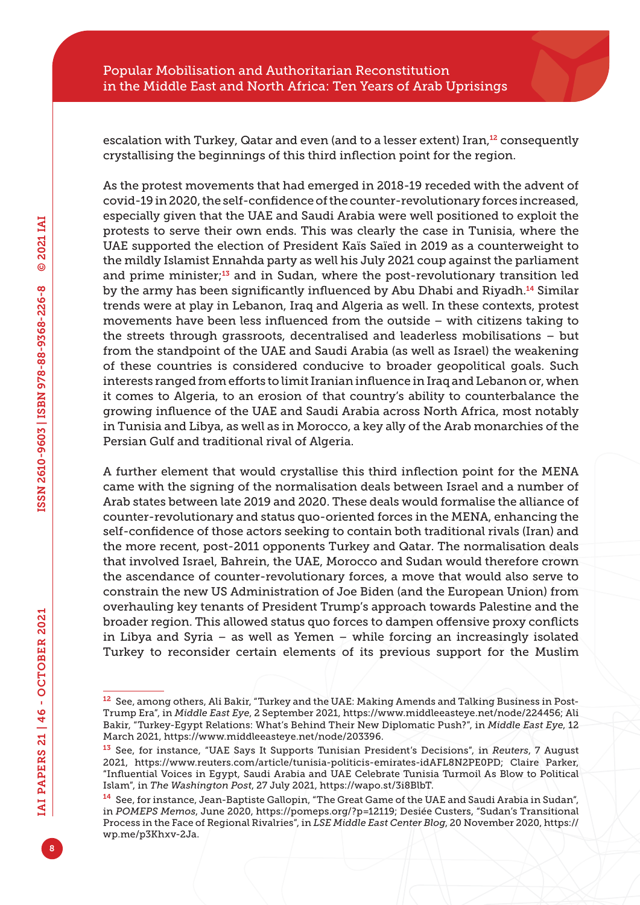escalation with Turkey, Qatar and even (and to a lesser extent) Iran,<sup>12</sup> consequently crystallising the beginnings of this third inflection point for the region.

As the protest movements that had emerged in 2018-19 receded with the advent of covid-19 in 2020, the self-confidence of the counter-revolutionary forces increased, especially given that the UAE and Saudi Arabia were well positioned to exploit the protests to serve their own ends. This was clearly the case in Tunisia, where the UAE supported the election of President Kaïs Saïed in 2019 as a counterweight to the mildly Islamist Ennahda party as well his July 2021 coup against the parliament and prime minister;<sup>13</sup> and in Sudan, where the post-revolutionary transition led by the army has been significantly influenced by Abu Dhabi and Riyadh.<sup>14</sup> Similar trends were at play in Lebanon, Iraq and Algeria as well. In these contexts, protest movements have been less influenced from the outside – with citizens taking to the streets through grassroots, decentralised and leaderless mobilisations – but from the standpoint of the UAE and Saudi Arabia (as well as Israel) the weakening of these countries is considered conducive to broader geopolitical goals. Such interests ranged from efforts to limit Iranian influence in Iraq and Lebanon or, when it comes to Algeria, to an erosion of that country's ability to counterbalance the growing influence of the UAE and Saudi Arabia across North Africa, most notably in Tunisia and Libya, as well as in Morocco, a key ally of the Arab monarchies of the Persian Gulf and traditional rival of Algeria.

A further element that would crystallise this third inflection point for the MENA came with the signing of the normalisation deals between Israel and a number of Arab states between late 2019 and 2020. These deals would formalise the alliance of counter-revolutionary and status quo-oriented forces in the MENA, enhancing the self-confidence of those actors seeking to contain both traditional rivals (Iran) and the more recent, post-2011 opponents Turkey and Qatar. The normalisation deals that involved Israel, Bahrein, the UAE, Morocco and Sudan would therefore crown the ascendance of counter-revolutionary forces, a move that would also serve to constrain the new US Administration of Joe Biden (and the European Union) from overhauling key tenants of President Trump's approach towards Palestine and the broader region. This allowed status quo forces to dampen offensive proxy conflicts in Libya and Syria – as well as Yemen – while forcing an increasingly isolated Turkey to reconsider certain elements of its previous support for the Muslim

<sup>12</sup> See, among others, Ali Bakir, "Turkey and the UAE: Making Amends and Talking Business in Post-Trump Era", in *Middle East Eye*, 2 September 2021,<https://www.middleeasteye.net/node/224456>; Ali Bakir, "Turkey-Egypt Relations: What's Behind Their New Diplomatic Push?", in *Middle East Eye*, 12 March 2021, [https://www.middleeasteye.net/node/203396.](https://www.middleeasteye.net/node/203396)

<sup>13</sup> See, for instance, "UAE Says It Supports Tunisian President's Decisions", in *Reuters*, 7 August 2021, [https://www.reuters.com/article/tunisia-politicis-emirates-idAFL8N2PE0PD;](https://www.reuters.com/article/tunisia-politicis-emirates-idAFL8N2PE0PD) Claire Parker, "Influential Voices in Egypt, Saudi Arabia and UAE Celebrate Tunisia Turmoil As Blow to Political Islam", in *The Washington Post*, 27 July 2021, <https://wapo.st/3i8BlbT>.

<sup>14</sup> See, for instance, Jean-Baptiste Gallopin, "The Great Game of the UAE and Saudi Arabia in Sudan", in *POMEPS Memos*, June 2020, <https://pomeps.org/?p=12119>; Desiée Custers, "Sudan's Transitional Process in the Face of Regional Rivalries", in *LSE Middle East Center Blog*, 20 November 2020, [https://](https://wp.me/p3Khxv-2Ja) [wp.me/p3Khxv-2Ja](https://wp.me/p3Khxv-2Ja).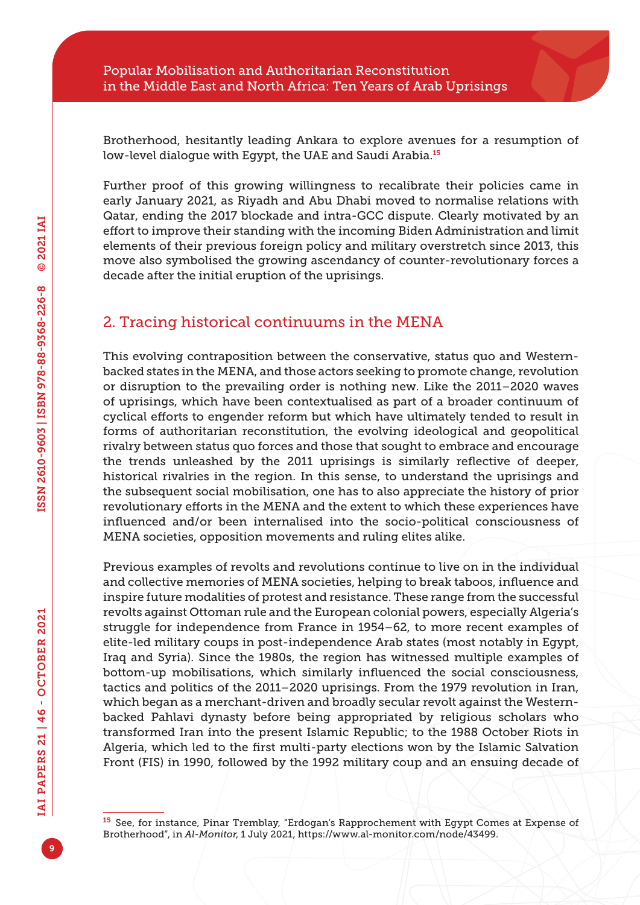Brotherhood, hesitantly leading Ankara to explore avenues for a resumption of low-level dialogue with Egypt, the UAE and Saudi Arabia.<sup>15</sup>

Further proof of this growing willingness to recalibrate their policies came in early January 2021, as Riyadh and Abu Dhabi moved to normalise relations with Qatar, ending the 2017 blockade and intra-GCC dispute. Clearly motivated by an effort to improve their standing with the incoming Biden Administration and limit elements of their previous foreign policy and military overstretch since 2013, this move also symbolised the growing ascendancy of counter-revolutionary forces a decade after the initial eruption of the uprisings.

#### 2. Tracing historical continuums in the MENA

This evolving contraposition between the conservative, status quo and Westernbacked states in the MENA, and those actors seeking to promote change, revolution or disruption to the prevailing order is nothing new. Like the 2011–2020 waves of uprisings, which have been contextualised as part of a broader continuum of cyclical efforts to engender reform but which have ultimately tended to result in forms of authoritarian reconstitution, the evolving ideological and geopolitical rivalry between status quo forces and those that sought to embrace and encourage the trends unleashed by the 2011 uprisings is similarly reflective of deeper, historical rivalries in the region. In this sense, to understand the uprisings and the subsequent social mobilisation, one has to also appreciate the history of prior revolutionary efforts in the MENA and the extent to which these experiences have influenced and/or been internalised into the socio-political consciousness of MENA societies, opposition movements and ruling elites alike.

Previous examples of revolts and revolutions continue to live on in the individual and collective memories of MENA societies, helping to break taboos, influence and inspire future modalities of protest and resistance. These range from the successful revolts against Ottoman rule and the European colonial powers, especially Algeria's struggle for independence from France in 1954–62, to more recent examples of elite-led military coups in post-independence Arab states (most notably in Egypt, Iraq and Syria). Since the 1980s, the region has witnessed multiple examples of bottom-up mobilisations, which similarly influenced the social consciousness, tactics and politics of the 2011–2020 uprisings. From the 1979 revolution in Iran, which began as a merchant-driven and broadly secular revolt against the Westernbacked Pahlavi dynasty before being appropriated by religious scholars who transformed Iran into the present Islamic Republic; to the 1988 October Riots in Algeria, which led to the first multi-party elections won by the Islamic Salvation Front (FIS) in 1990, followed by the 1992 military coup and an ensuing decade of

<sup>15</sup> See, for instance, Pinar Tremblay, "Erdogan's Rapprochement with Egypt Comes at Expense of Brotherhood", in *Al-Monitor*, 1 July 2021,<https://www.al-monitor.com/node/43499>.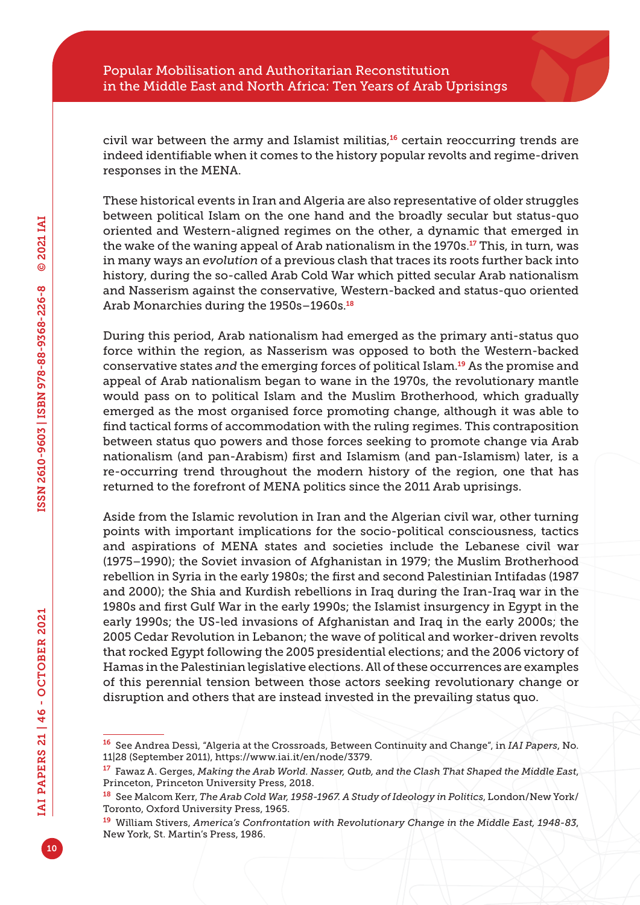civil war between the army and Islamist militias, $16$  certain reoccurring trends are indeed identifiable when it comes to the history popular revolts and regime-driven responses in the MENA.

These historical events in Iran and Algeria are also representative of older struggles between political Islam on the one hand and the broadly secular but status-quo oriented and Western-aligned regimes on the other, a dynamic that emerged in the wake of the waning appeal of Arab nationalism in the 1970s.<sup>17</sup> This, in turn, was in many ways an *evolution* of a previous clash that traces its roots further back into history, during the so-called Arab Cold War which pitted secular Arab nationalism and Nasserism against the conservative, Western-backed and status-quo oriented Arab Monarchies during the 1950s-1960s.<sup>18</sup>

During this period, Arab nationalism had emerged as the primary anti-status quo force within the region, as Nasserism was opposed to both the Western-backed conservative states *and* the emerging forces of political Islam.19 As the promise and appeal of Arab nationalism began to wane in the 1970s, the revolutionary mantle would pass on to political Islam and the Muslim Brotherhood, which gradually emerged as the most organised force promoting change, although it was able to find tactical forms of accommodation with the ruling regimes. This contraposition between status quo powers and those forces seeking to promote change via Arab nationalism (and pan-Arabism) first and Islamism (and pan-Islamism) later, is a re-occurring trend throughout the modern history of the region, one that has returned to the forefront of MENA politics since the 2011 Arab uprisings.

Aside from the Islamic revolution in Iran and the Algerian civil war, other turning points with important implications for the socio-political consciousness, tactics and aspirations of MENA states and societies include the Lebanese civil war (1975–1990); the Soviet invasion of Afghanistan in 1979; the Muslim Brotherhood rebellion in Syria in the early 1980s; the first and second Palestinian Intifadas (1987 and 2000); the Shia and Kurdish rebellions in Iraq during the Iran-Iraq war in the 1980s and first Gulf War in the early 1990s; the Islamist insurgency in Egypt in the early 1990s; the US-led invasions of Afghanistan and Iraq in the early 2000s; the 2005 Cedar Revolution in Lebanon; the wave of political and worker-driven revolts that rocked Egypt following the 2005 presidential elections; and the 2006 victory of Hamas in the Palestinian legislative elections. All of these occurrences are examples of this perennial tension between those actors seeking revolutionary change or disruption and others that are instead invested in the prevailing status quo.

<sup>16</sup> See Andrea Dessì, "Algeria at the Crossroads, Between Continuity and Change", in *IAI Papers*, No. 11|28 (September 2011),<https://www.iai.it/en/node/3379>.

<sup>17</sup> Fawaz A. Gerges, *Making the Arab World. Nasser, Qutb, and the Clash That Shaped the Middle East*, Princeton, Princeton University Press, 2018.

<sup>18</sup> See Malcom Kerr, *The Arab Cold War, 1958-1967. A Study of Ideology in Politics*, London/New York/ Toronto, Oxford University Press, 1965.

<sup>19</sup> William Stivers, *America's Confrontation with Revolutionary Change in the Middle East, 1948-83*, New York, St. Martin's Press, 1986.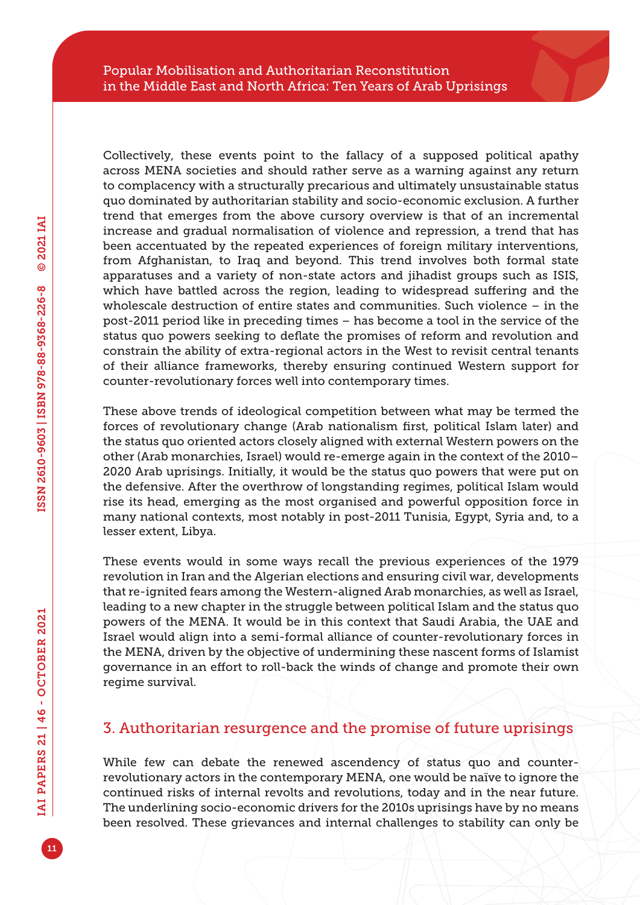Collectively, these events point to the fallacy of a supposed political apathy across MENA societies and should rather serve as a warning against any return to complacency with a structurally precarious and ultimately unsustainable status quo dominated by authoritarian stability and socio-economic exclusion. A further trend that emerges from the above cursory overview is that of an incremental increase and gradual normalisation of violence and repression, a trend that has been accentuated by the repeated experiences of foreign military interventions, from Afghanistan, to Iraq and beyond. This trend involves both formal state apparatuses and a variety of non-state actors and jihadist groups such as ISIS, which have battled across the region, leading to widespread suffering and the wholescale destruction of entire states and communities. Such violence – in the post-2011 period like in preceding times – has become a tool in the service of the status quo powers seeking to deflate the promises of reform and revolution and constrain the ability of extra-regional actors in the West to revisit central tenants of their alliance frameworks, thereby ensuring continued Western support for counter-revolutionary forces well into contemporary times.

These above trends of ideological competition between what may be termed the forces of revolutionary change (Arab nationalism first, political Islam later) and the status quo oriented actors closely aligned with external Western powers on the other (Arab monarchies, Israel) would re-emerge again in the context of the 2010– 2020 Arab uprisings. Initially, it would be the status quo powers that were put on the defensive. After the overthrow of longstanding regimes, political Islam would rise its head, emerging as the most organised and powerful opposition force in many national contexts, most notably in post-2011 Tunisia, Egypt, Syria and, to a lesser extent, Libya.

These events would in some ways recall the previous experiences of the 1979 revolution in Iran and the Algerian elections and ensuring civil war, developments that re-ignited fears among the Western-aligned Arab monarchies, as well as Israel, leading to a new chapter in the struggle between political Islam and the status quo powers of the MENA. It would be in this context that Saudi Arabia, the UAE and Israel would align into a semi-formal alliance of counter-revolutionary forces in the MENA, driven by the objective of undermining these nascent forms of Islamist governance in an effort to roll-back the winds of change and promote their own regime survival.

#### 3. Authoritarian resurgence and the promise of future uprisings

While few can debate the renewed ascendency of status quo and counterrevolutionary actors in the contemporary MENA, one would be naïve to ignore the continued risks of internal revolts and revolutions, today and in the near future. The underlining socio-economic drivers for the 2010s uprisings have by no means been resolved. These grievances and internal challenges to stability can only be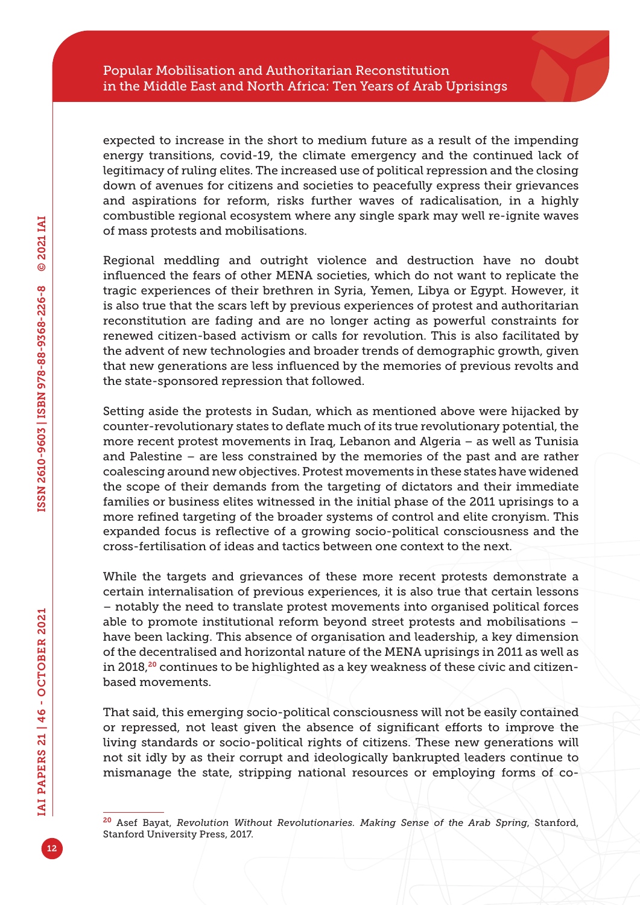expected to increase in the short to medium future as a result of the impending energy transitions, covid-19, the climate emergency and the continued lack of legitimacy of ruling elites. The increased use of political repression and the closing down of avenues for citizens and societies to peacefully express their grievances and aspirations for reform, risks further waves of radicalisation, in a highly combustible regional ecosystem where any single spark may well re-ignite waves of mass protests and mobilisations.

Regional meddling and outright violence and destruction have no doubt influenced the fears of other MENA societies, which do not want to replicate the tragic experiences of their brethren in Syria, Yemen, Libya or Egypt. However, it is also true that the scars left by previous experiences of protest and authoritarian reconstitution are fading and are no longer acting as powerful constraints for renewed citizen-based activism or calls for revolution. This is also facilitated by the advent of new technologies and broader trends of demographic growth, given that new generations are less influenced by the memories of previous revolts and the state-sponsored repression that followed.

Setting aside the protests in Sudan, which as mentioned above were hijacked by counter-revolutionary states to deflate much of its true revolutionary potential, the more recent protest movements in Iraq, Lebanon and Algeria – as well as Tunisia and Palestine – are less constrained by the memories of the past and are rather coalescing around new objectives. Protest movements in these states have widened the scope of their demands from the targeting of dictators and their immediate families or business elites witnessed in the initial phase of the 2011 uprisings to a more refined targeting of the broader systems of control and elite cronyism. This expanded focus is reflective of a growing socio-political consciousness and the cross-fertilisation of ideas and tactics between one context to the next.

While the targets and grievances of these more recent protests demonstrate a certain internalisation of previous experiences, it is also true that certain lessons – notably the need to translate protest movements into organised political forces able to promote institutional reform beyond street protests and mobilisations – have been lacking. This absence of organisation and leadership, a key dimension of the decentralised and horizontal nature of the MENA uprisings in 2011 as well as in 2018,<sup>20</sup> continues to be highlighted as a key weakness of these civic and citizenbased movements.

That said, this emerging socio-political consciousness will not be easily contained or repressed, not least given the absence of significant efforts to improve the living standards or socio-political rights of citizens. These new generations will not sit idly by as their corrupt and ideologically bankrupted leaders continue to mismanage the state, stripping national resources or employing forms of co-

<sup>20</sup> Asef Bayat, *Revolution Without Revolutionaries. Making Sense of the Arab Spring*, Stanford, Stanford University Press, 2017.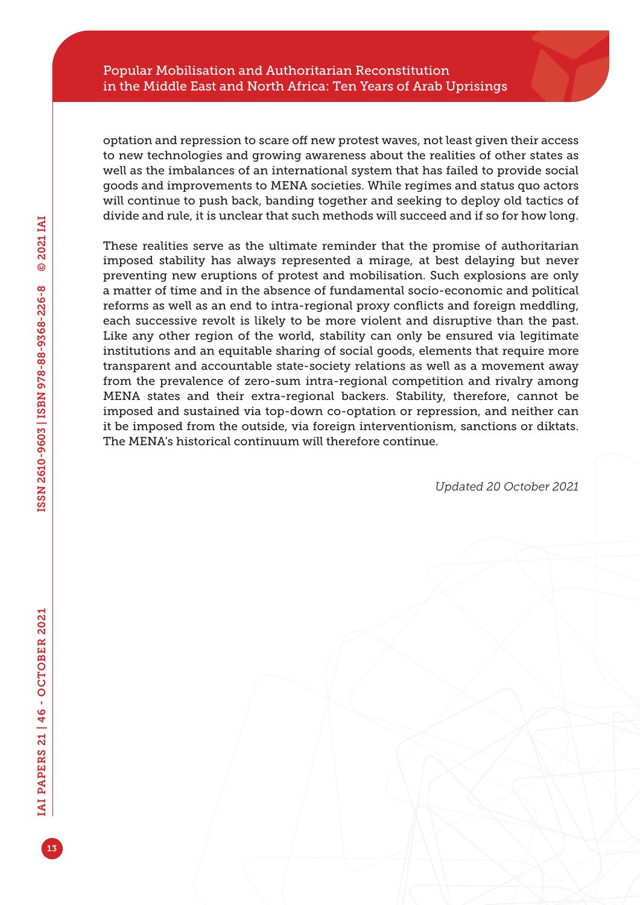#### Popular Mobilisation and Authoritarian Reconstitution in the Middle East and North Africa: Ten Years of Arab Uprisings

optation and repression to scare off new protest waves, not least given their access to new technologies and growing awareness about the realities of other states as well as the imbalances of an international system that has failed to provide social goods and improvements to MENA societies. While regimes and status quo actors will continue to push back, banding together and seeking to deploy old tactics of divide and rule, it is unclear that such methods will succeed and if so for how long.

These realities serve as the ultimate reminder that the promise of authoritarian imposed stability has always represented a mirage, at best delaying but never preventing new eruptions of protest and mobilisation. Such explosions are only a matter of time and in the absence of fundamental socio-economic and political reforms as well as an end to intra-regional proxy conflicts and foreign meddling, each successive revolt is likely to be more violent and disruptive than the past. Like any other region of the world, stability can only be ensured via legitimate institutions and an equitable sharing of social goods, elements that require more transparent and accountable state-society relations as well as a movement away from the prevalence of zero-sum intra-regional competition and rivalry among MENA states and their extra-regional backers. Stability, therefore, cannot be imposed and sustained via top-down co-optation or repression, and neither can it be imposed from the outside, via foreign interventionism, sanctions or diktats. The MENA's historical continuum will therefore continue.

*Updated 20 October 2021*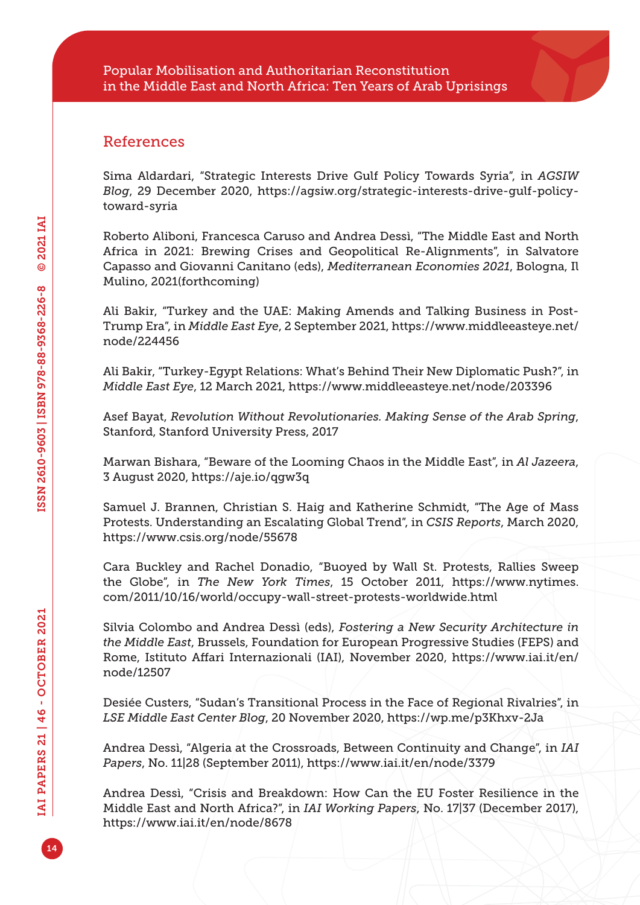#### References

Sima Aldardari, "Strategic Interests Drive Gulf Policy Towards Syria", in *AGSIW Blog*, 29 December 2020, [https://agsiw.org/strategic-interests-drive-gulf-policy](https://agsiw.org/strategic-interests-drive-gulf-policy-toward-syria)[toward-syria](https://agsiw.org/strategic-interests-drive-gulf-policy-toward-syria)

Roberto Aliboni, Francesca Caruso and Andrea Dessì, "The Middle East and North Africa in 2021: Brewing Crises and Geopolitical Re-Alignments", in Salvatore Capasso and Giovanni Canitano (eds), *Mediterranean Economies 2021*, Bologna, Il Mulino, 2021(forthcoming)

Ali Bakir, "Turkey and the UAE: Making Amends and Talking Business in Post-Trump Era", in *Middle East Eye*, 2 September 2021, [https://www.middleeasteye.net/](https://www.middleeasteye.net/node/224456) [node/224456](https://www.middleeasteye.net/node/224456)

Ali Bakir, "Turkey-Egypt Relations: What's Behind Their New Diplomatic Push?", in *Middle East Eye*, 12 March 2021, <https://www.middleeasteye.net/node/203396>

Asef Bayat, *Revolution Without Revolutionaries. Making Sense of the Arab Spring*, Stanford, Stanford University Press, 2017

Marwan Bishara, "Beware of the Looming Chaos in the Middle East", in *Al Jazeera*, 3 August 2020,<https://aje.io/qgw3q>

Samuel J. Brannen, Christian S. Haig and Katherine Schmidt, "The Age of Mass Protests. Understanding an Escalating Global Trend", in *CSIS Reports*, March 2020, <https://www.csis.org/node/55678>

Cara Buckley and Rachel Donadio, "Buoyed by Wall St. Protests, Rallies Sweep the Globe", in *The New York Times*, 15 October 2011, [https://www.nytimes.](https://www.nytimes.com/2011/10/16/world/occupy-wall-street-protests-worldwide.html) [com/2011/10/16/world/occupy-wall-street-protests-worldwide.html](https://www.nytimes.com/2011/10/16/world/occupy-wall-street-protests-worldwide.html)

Silvia Colombo and Andrea Dessì (eds), *Fostering a New Security Architecture in the Middle East*, Brussels, Foundation for European Progressive Studies (FEPS) and Rome, Istituto Affari Internazionali (IAI), November 2020, [https://www.iai.it/en/](https://www.iai.it/en/node/12507) [node/12507](https://www.iai.it/en/node/12507)

Desiée Custers, "Sudan's Transitional Process in the Face of Regional Rivalries", in *LSE Middle East Center Blog*, 20 November 2020,<https://wp.me/p3Khxv-2Ja>

Andrea Dessì, "Algeria at the Crossroads, Between Continuity and Change", in *IAI Papers*, No. 11|28 (September 2011), <https://www.iai.it/en/node/3379>

Andrea Dessì, "Crisis and Breakdown: How Can the EU Foster Resilience in the Middle East and North Africa?", in *IAI Working Papers*, No. 17|37 (December 2017), <https://www.iai.it/en/node/8678>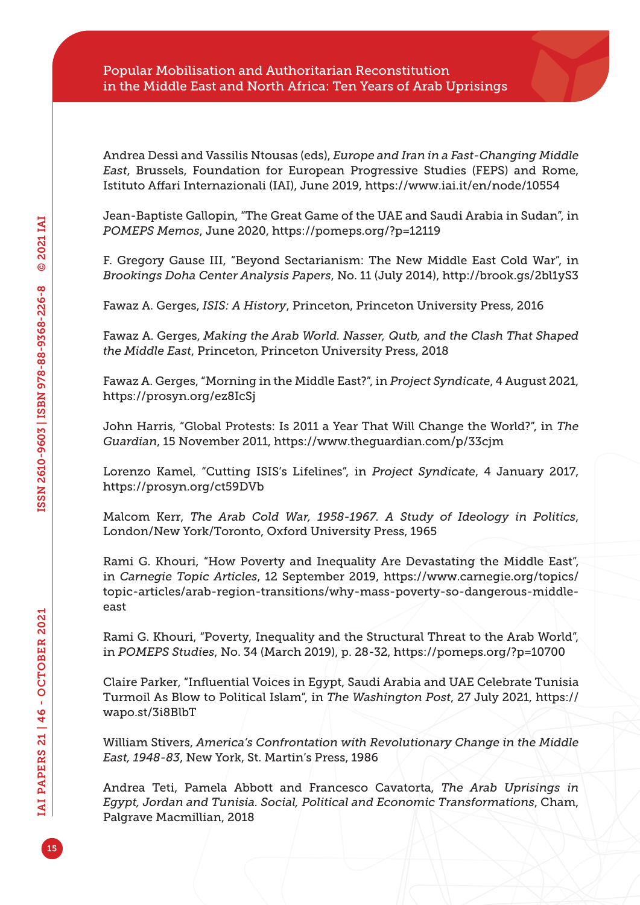Andrea Dessì and Vassilis Ntousas (eds), *Europe and Iran in a Fast-Changing Middle East*, Brussels, Foundation for European Progressive Studies (FEPS) and Rome, Istituto Affari Internazionali (IAI), June 2019, <https://www.iai.it/en/node/10554>

Jean-Baptiste Gallopin, "The Great Game of the UAE and Saudi Arabia in Sudan", in *POMEPS Memos*, June 2020,<https://pomeps.org/?p=12119>

F. Gregory Gause III, "Beyond Sectarianism: The New Middle East Cold War", in *Brookings Doha Center Analysis Papers*, No. 11 (July 2014), <http://brook.gs/2bl1yS3>

Fawaz A. Gerges, *ISIS: A History*, Princeton, Princeton University Press, 2016

Fawaz A. Gerges, *Making the Arab World. Nasser, Qutb, and the Clash That Shaped the Middle East*, Princeton, Princeton University Press, 2018

Fawaz A. Gerges, "Morning in the Middle East?", in *Project Syndicate*, 4 August 2021, <https://prosyn.org/ez8IcSj>

John Harris, "Global Protests: Is 2011 a Year That Will Change the World?", in *The Guardian*, 15 November 2011, <https://www.theguardian.com/p/33cjm>

Lorenzo Kamel, "Cutting ISIS's Lifelines", in *Project Syndicate*, 4 January 2017, <https://prosyn.org/ct59DVb>

Malcom Kerr, *The Arab Cold War, 1958-1967. A Study of Ideology in Politics*, London/New York/Toronto, Oxford University Press, 1965

Rami G. Khouri, "How Poverty and Inequality Are Devastating the Middle East", in *Carnegie Topic Articles*, 12 September 2019, [https://www.carnegie.org/topics/](https://www.carnegie.org/topics/topic-articles/arab-region-transitions/why-mass-poverty-so-dangerous-middle-east) [topic-articles/arab-region-transitions/why-mass-poverty-so-dangerous-middle](https://www.carnegie.org/topics/topic-articles/arab-region-transitions/why-mass-poverty-so-dangerous-middle-east)[east](https://www.carnegie.org/topics/topic-articles/arab-region-transitions/why-mass-poverty-so-dangerous-middle-east)

Rami G. Khouri, "Poverty, Inequality and the Structural Threat to the Arab World", in *POMEPS Studies*, No. 34 (March 2019), p. 28-32,<https://pomeps.org/?p=10700>

Claire Parker, "Influential Voices in Egypt, Saudi Arabia and UAE Celebrate Tunisia Turmoil As Blow to Political Islam", in *The Washington Post*, 27 July 2021, [https://](https://wapo.st/3i8BlbT) [wapo.st/3i8BlbT](https://wapo.st/3i8BlbT)

William Stivers, *America's Confrontation with Revolutionary Change in the Middle East, 1948-83*, New York, St. Martin's Press, 1986

Andrea Teti, Pamela Abbott and Francesco Cavatorta, *The Arab Uprisings in Egypt, Jordan and Tunisia. Social, Political and Economic Transformations*, Cham, Palgrave Macmillian, 2018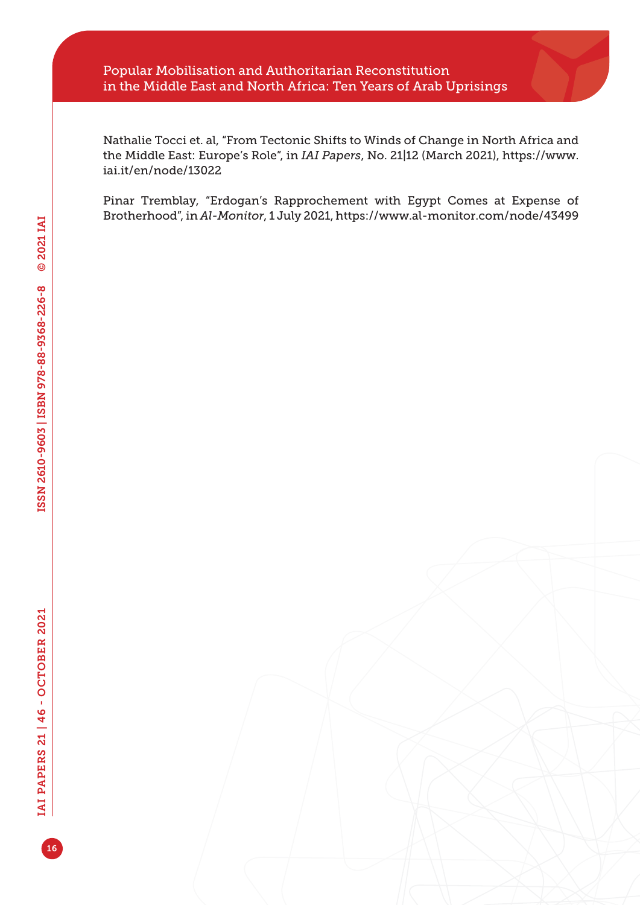#### Popular Mobilisation and Authoritarian Reconstitution in the Middle East and North Africa: Ten Years of Arab Uprisings

Nathalie Tocci et. al, "From Tectonic Shifts to Winds of Change in North Africa and the Middle East: Europe's Role", in *IAI Papers*, No. 21|12 (March 2021), [https://www.](https://www.iai.it/en/node/13022) [iai.it/en/node/13022](https://www.iai.it/en/node/13022)

Pinar Tremblay, "Erdogan's Rapprochement with Egypt Comes at Expense of Brotherhood", in *Al-Monitor*, 1 July 2021,<https://www.al-monitor.com/node/43499>